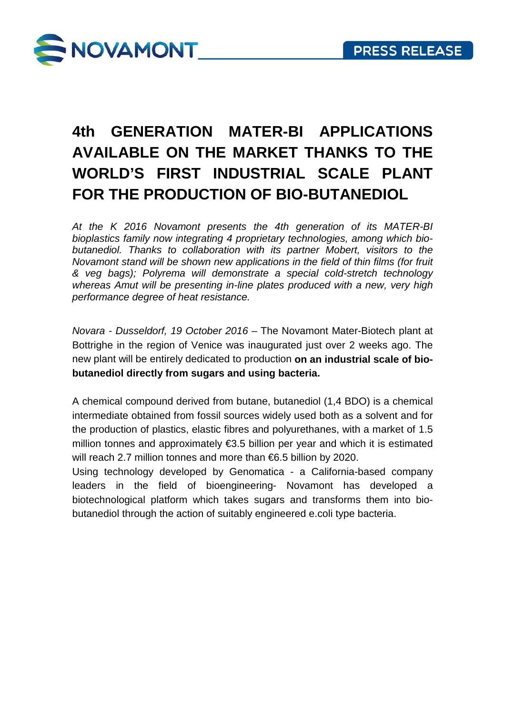

## **4th GENERATION MATER-BI APPLICATIONS AVAILABLE ON THE MARKET THANKS TO THE WORLD'S FIRST INDUSTRIAL SCALE PLANT FOR THE PRODUCTION OF BIO-BUTANEDIOL**

*At the K 2016 Novamont presents the 4th generation of its MATER-BI bioplastics family now integrating 4 proprietary technologies, among which biobutanediol. Thanks to collaboration with its partner Mobert, visitors to the Novamont stand will be shown new applications in the field of thin films (for fruit & veg bags); Polyrema will demonstrate a special cold-stretch technology whereas Amut will be presenting in-line plates produced with a new, very high performance degree of heat resistance.* 

*Novara - Dusseldorf, 19 October 2016* – The Novamont Mater-Biotech plant at Bottrighe in the region of Venice was inaugurated just over 2 weeks ago. The new plant will be entirely dedicated to production **on an industrial scale of biobutanediol directly from sugars and using bacteria.** 

A chemical compound derived from butane, butanediol (1,4 BDO) is a chemical intermediate obtained from fossil sources widely used both as a solvent and for the production of plastics, elastic fibres and polyurethanes, with a market of 1.5 million tonnes and approximately €3.5 billion per year and which it is estimated will reach 2.7 million tonnes and more than €6.5 billion by 2020.

Using technology developed by Genomatica - a California-based company leaders in the field of bioengineering- Novamont has developed a biotechnological platform which takes sugars and transforms them into biobutanediol through the action of suitably engineered e.coli type bacteria.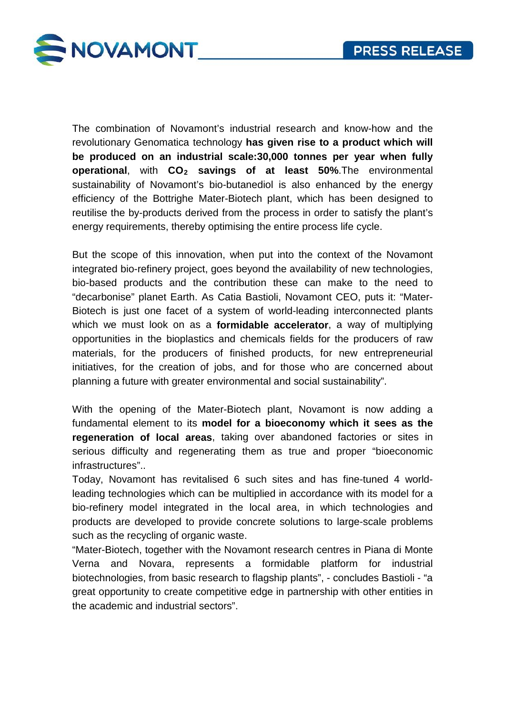

The combination of Novamont's industrial research and know-how and the revolutionary Genomatica technology **has given rise to a product which will be produced on an industrial scale:30,000 tonnes per year when fully operational**, with **CO2 savings of at least 50%**.The environmental sustainability of Novamont's bio-butanediol is also enhanced by the energy efficiency of the Bottrighe Mater-Biotech plant, which has been designed to reutilise the by-products derived from the process in order to satisfy the plant's energy requirements, thereby optimising the entire process life cycle.

But the scope of this innovation, when put into the context of the Novamont integrated bio-refinery project, goes beyond the availability of new technologies, bio-based products and the contribution these can make to the need to "decarbonise" planet Earth. As Catia Bastioli, Novamont CEO, puts it: "Mater-Biotech is just one facet of a system of world-leading interconnected plants which we must look on as a **formidable accelerator**, a way of multiplying opportunities in the bioplastics and chemicals fields for the producers of raw materials, for the producers of finished products, for new entrepreneurial initiatives, for the creation of jobs, and for those who are concerned about planning a future with greater environmental and social sustainability".

With the opening of the Mater-Biotech plant, Novamont is now adding a fundamental element to its **model for a bioeconomy which it sees as the regeneration of local areas**, taking over abandoned factories or sites in serious difficulty and regenerating them as true and proper "bioeconomic infrastructures"..

Today, Novamont has revitalised 6 such sites and has fine-tuned 4 worldleading technologies which can be multiplied in accordance with its model for a bio-refinery model integrated in the local area, in which technologies and products are developed to provide concrete solutions to large-scale problems such as the recycling of organic waste.

"Mater-Biotech, together with the Novamont research centres in Piana di Monte Verna and Novara, represents a formidable platform for industrial biotechnologies, from basic research to flagship plants", - concludes Bastioli - "a great opportunity to create competitive edge in partnership with other entities in the academic and industrial sectors".